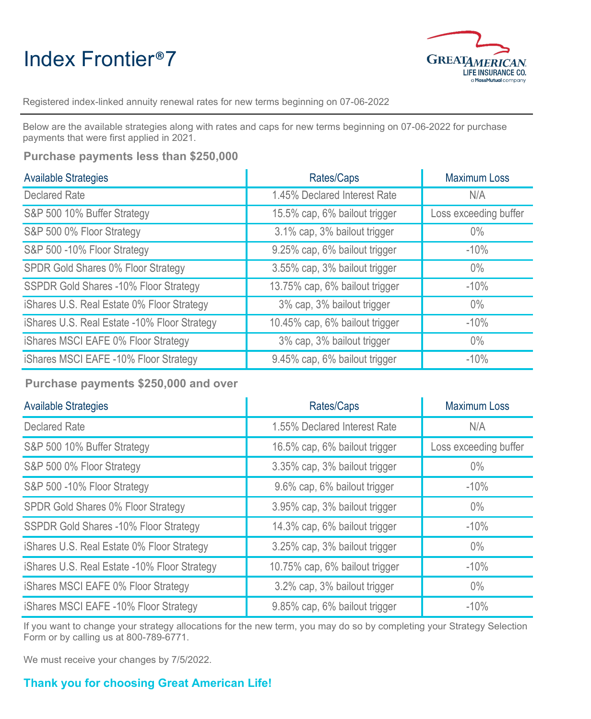## Index Frontier®7



Registered index-linked annuity renewal rates for new terms beginning on 07-06-2022

Below are the available strategies along with rates and caps for new terms beginning on 07-06-2022 for purchase payments that were first applied in 2021.

**Purchase payments less than \$250,000**

| <b>Available Strategies</b>                  | Rates/Caps                     | <b>Maximum Loss</b>   |
|----------------------------------------------|--------------------------------|-----------------------|
| <b>Declared Rate</b>                         | 1.45% Declared Interest Rate   | N/A                   |
| S&P 500 10% Buffer Strategy                  | 15.5% cap, 6% bailout trigger  | Loss exceeding buffer |
| S&P 500 0% Floor Strategy                    | 3.1% cap, 3% bailout trigger   | $0\%$                 |
| S&P 500 -10% Floor Strategy                  | 9.25% cap, 6% bailout trigger  | $-10%$                |
| SPDR Gold Shares 0% Floor Strategy           | 3.55% cap, 3% bailout trigger  | $0\%$                 |
| SSPDR Gold Shares -10% Floor Strategy        | 13.75% cap, 6% bailout trigger | $-10%$                |
| iShares U.S. Real Estate 0% Floor Strategy   | 3% cap, 3% bailout trigger     | $0\%$                 |
| iShares U.S. Real Estate -10% Floor Strategy | 10.45% cap, 6% bailout trigger | $-10%$                |
| iShares MSCI EAFE 0% Floor Strategy          | 3% cap, 3% bailout trigger     | $0\%$                 |
| iShares MSCI EAFE -10% Floor Strategy        | 9.45% cap, 6% bailout trigger  | $-10%$                |

**Purchase payments \$250,000 and over**

| <b>Available Strategies</b>                  | Rates/Caps                     | <b>Maximum Loss</b>   |
|----------------------------------------------|--------------------------------|-----------------------|
| <b>Declared Rate</b>                         | 1.55% Declared Interest Rate   | N/A                   |
| S&P 500 10% Buffer Strategy                  | 16.5% cap, 6% bailout trigger  | Loss exceeding buffer |
| S&P 500 0% Floor Strategy                    | 3.35% cap, 3% bailout trigger  | $0\%$                 |
| S&P 500 -10% Floor Strategy                  | 9.6% cap, 6% bailout trigger   | $-10%$                |
| SPDR Gold Shares 0% Floor Strategy           | 3.95% cap, 3% bailout trigger  | $0\%$                 |
| <b>SSPDR Gold Shares -10% Floor Strategy</b> | 14.3% cap, 6% bailout trigger  | $-10%$                |
| iShares U.S. Real Estate 0% Floor Strategy   | 3.25% cap, 3% bailout trigger  | $0\%$                 |
| iShares U.S. Real Estate -10% Floor Strategy | 10.75% cap, 6% bailout trigger | $-10%$                |
| iShares MSCI EAFE 0% Floor Strategy          | 3.2% cap, 3% bailout trigger   | $0\%$                 |
| iShares MSCI EAFE -10% Floor Strategy        | 9.85% cap, 6% bailout trigger  | $-10%$                |

If you want to change your strategy allocations for the new term, you may do so by completing your Strategy Selection Form or by calling us at 800-789-6771.

We must receive your changes by 7/5/2022.

## **Thank you for choosing Great American Life!**